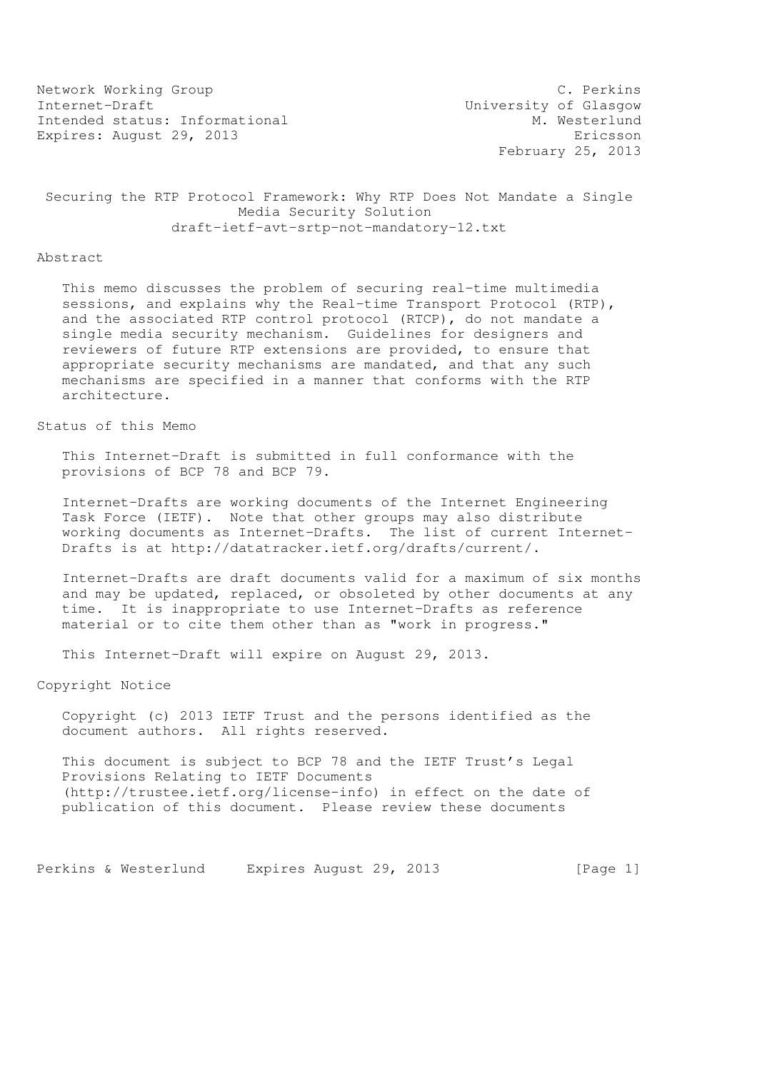Network Working Group C. Perkins Internet-Draft<br>Intended status: Informational M. Westerlund Intended status: Informational Expires: August 29, 2013 Expires: August 29, 2013

February 25, 2013

# Securing the RTP Protocol Framework: Why RTP Does Not Mandate a Single Media Security Solution draft-ietf-avt-srtp-not-mandatory-12.txt

#### Abstract

 This memo discusses the problem of securing real-time multimedia sessions, and explains why the Real-time Transport Protocol (RTP), and the associated RTP control protocol (RTCP), do not mandate a single media security mechanism. Guidelines for designers and reviewers of future RTP extensions are provided, to ensure that appropriate security mechanisms are mandated, and that any such mechanisms are specified in a manner that conforms with the RTP architecture.

# Status of this Memo

 This Internet-Draft is submitted in full conformance with the provisions of BCP 78 and BCP 79.

 Internet-Drafts are working documents of the Internet Engineering Task Force (IETF). Note that other groups may also distribute working documents as Internet-Drafts. The list of current Internet- Drafts is at http://datatracker.ietf.org/drafts/current/.

 Internet-Drafts are draft documents valid for a maximum of six months and may be updated, replaced, or obsoleted by other documents at any time. It is inappropriate to use Internet-Drafts as reference material or to cite them other than as "work in progress."

This Internet-Draft will expire on August 29, 2013.

Copyright Notice

 Copyright (c) 2013 IETF Trust and the persons identified as the document authors. All rights reserved.

 This document is subject to BCP 78 and the IETF Trust's Legal Provisions Relating to IETF Documents (http://trustee.ietf.org/license-info) in effect on the date of publication of this document. Please review these documents

Perkins & Westerlund Expires August 29, 2013 [Page 1]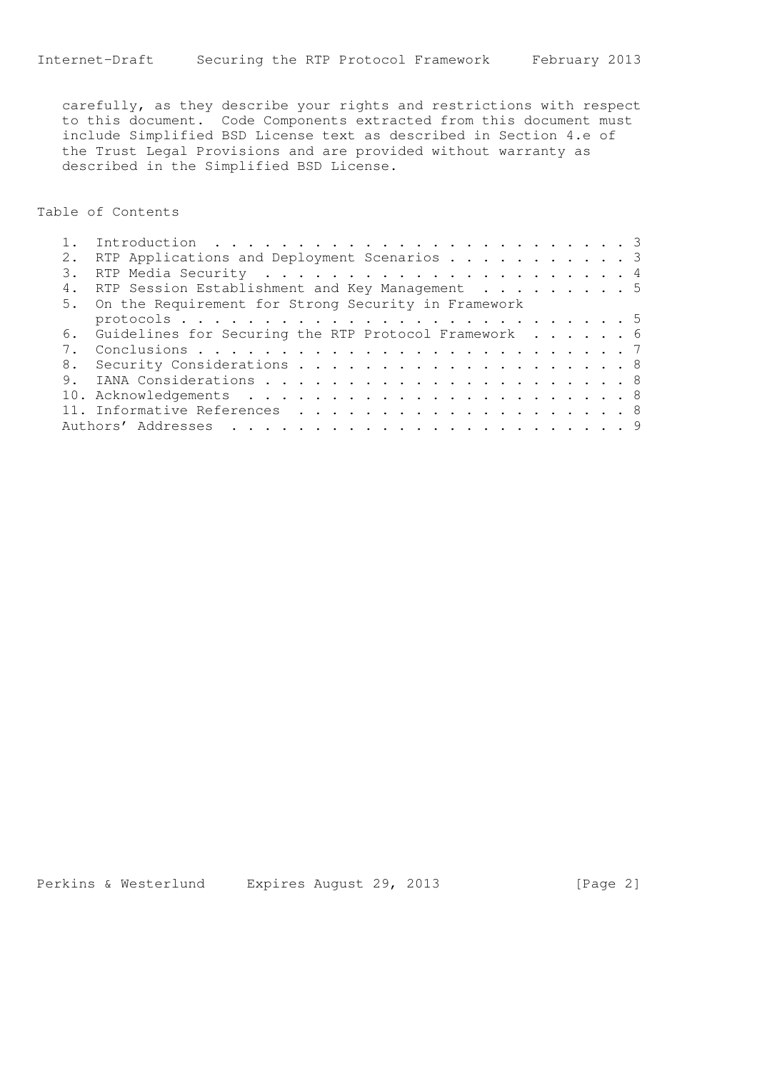carefully, as they describe your rights and restrictions with respect to this document. Code Components extracted from this document must include Simplified BSD License text as described in Section 4.e of the Trust Legal Provisions and are provided without warranty as described in the Simplified BSD License.

Table of Contents

|    | RTP Applications and Deployment Scenarios 3             |  |
|----|---------------------------------------------------------|--|
| 3. |                                                         |  |
|    | RTP Session Establishment and Key Management 5          |  |
|    | 5. On the Requirement for Strong Security in Framework  |  |
|    |                                                         |  |
|    | 6. Guidelines for Securing the RTP Protocol Framework 6 |  |
|    |                                                         |  |
|    |                                                         |  |
|    |                                                         |  |
|    |                                                         |  |
|    |                                                         |  |
|    |                                                         |  |

Perkins & Westerlund Expires August 29, 2013 [Page 2]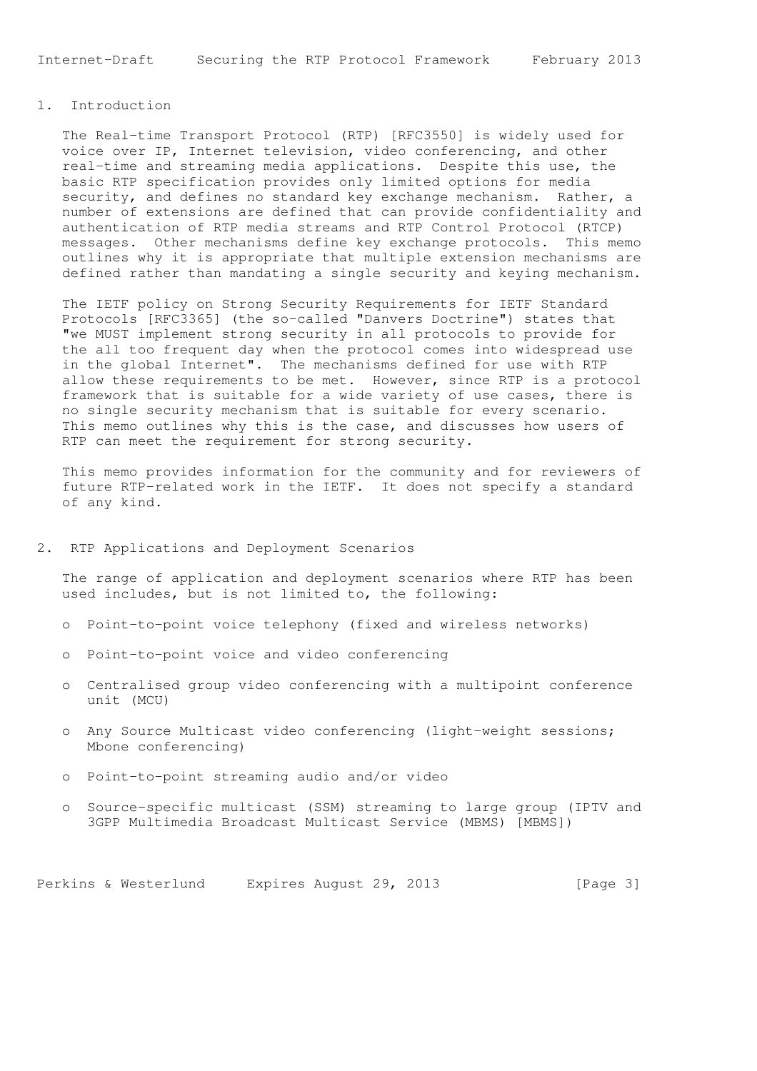Internet-Draft Securing the RTP Protocol Framework February 2013

# 1. Introduction

 The Real-time Transport Protocol (RTP) [RFC3550] is widely used for voice over IP, Internet television, video conferencing, and other real-time and streaming media applications. Despite this use, the basic RTP specification provides only limited options for media security, and defines no standard key exchange mechanism. Rather, a number of extensions are defined that can provide confidentiality and authentication of RTP media streams and RTP Control Protocol (RTCP) messages. Other mechanisms define key exchange protocols. This memo outlines why it is appropriate that multiple extension mechanisms are defined rather than mandating a single security and keying mechanism.

 The IETF policy on Strong Security Requirements for IETF Standard Protocols [RFC3365] (the so-called "Danvers Doctrine") states that "we MUST implement strong security in all protocols to provide for the all too frequent day when the protocol comes into widespread use in the global Internet". The mechanisms defined for use with RTP allow these requirements to be met. However, since RTP is a protocol framework that is suitable for a wide variety of use cases, there is no single security mechanism that is suitable for every scenario. This memo outlines why this is the case, and discusses how users of RTP can meet the requirement for strong security.

 This memo provides information for the community and for reviewers of future RTP-related work in the IETF. It does not specify a standard of any kind.

## 2. RTP Applications and Deployment Scenarios

 The range of application and deployment scenarios where RTP has been used includes, but is not limited to, the following:

- o Point-to-point voice telephony (fixed and wireless networks)
- o Point-to-point voice and video conferencing
- o Centralised group video conferencing with a multipoint conference unit (MCU)
- o Any Source Multicast video conferencing (light-weight sessions; Mbone conferencing)
- o Point-to-point streaming audio and/or video
- o Source-specific multicast (SSM) streaming to large group (IPTV and 3GPP Multimedia Broadcast Multicast Service (MBMS) [MBMS])

Perkins & Westerlund Expires August 29, 2013 [Page 3]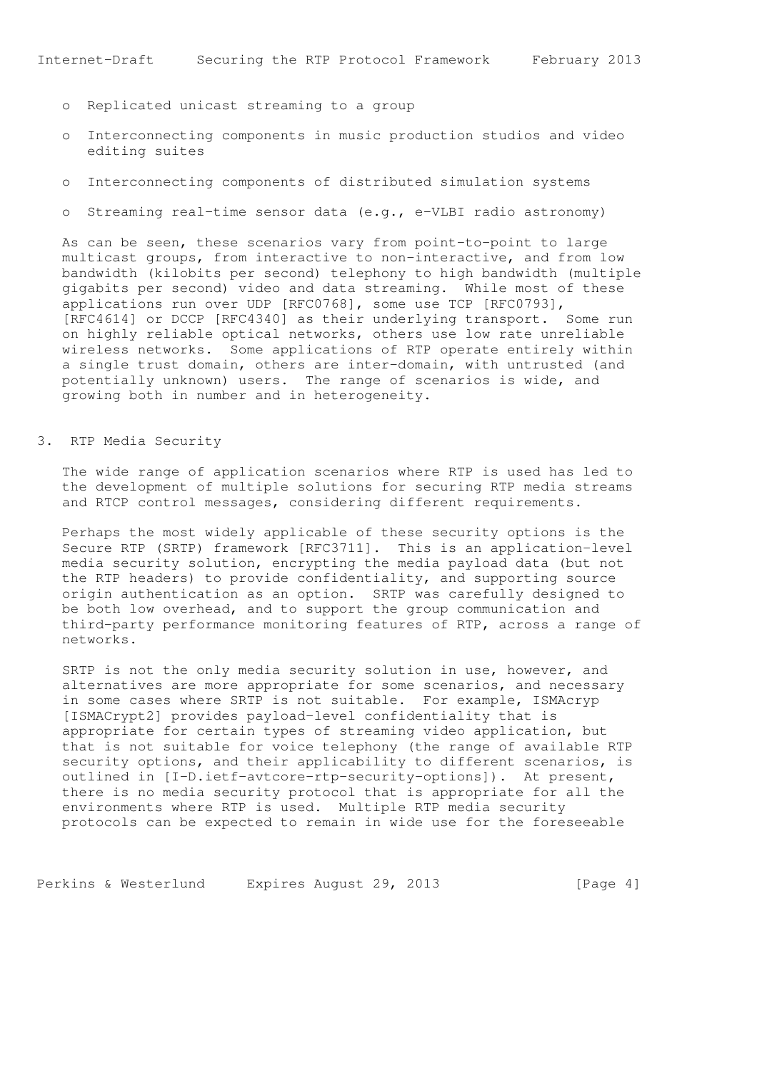- o Replicated unicast streaming to a group
- o Interconnecting components in music production studios and video editing suites
- o Interconnecting components of distributed simulation systems
- o Streaming real-time sensor data (e.g., e-VLBI radio astronomy)

 As can be seen, these scenarios vary from point-to-point to large multicast groups, from interactive to non-interactive, and from low bandwidth (kilobits per second) telephony to high bandwidth (multiple gigabits per second) video and data streaming. While most of these applications run over UDP [RFC0768], some use TCP [RFC0793], [RFC4614] or DCCP [RFC4340] as their underlying transport. Some run on highly reliable optical networks, others use low rate unreliable wireless networks. Some applications of RTP operate entirely within a single trust domain, others are inter-domain, with untrusted (and potentially unknown) users. The range of scenarios is wide, and growing both in number and in heterogeneity.

## 3. RTP Media Security

 The wide range of application scenarios where RTP is used has led to the development of multiple solutions for securing RTP media streams and RTCP control messages, considering different requirements.

 Perhaps the most widely applicable of these security options is the Secure RTP (SRTP) framework [RFC3711]. This is an application-level media security solution, encrypting the media payload data (but not the RTP headers) to provide confidentiality, and supporting source origin authentication as an option. SRTP was carefully designed to be both low overhead, and to support the group communication and third-party performance monitoring features of RTP, across a range of networks.

 SRTP is not the only media security solution in use, however, and alternatives are more appropriate for some scenarios, and necessary in some cases where SRTP is not suitable. For example, ISMAcryp [ISMACrypt2] provides payload-level confidentiality that is appropriate for certain types of streaming video application, but that is not suitable for voice telephony (the range of available RTP security options, and their applicability to different scenarios, is outlined in [I-D.ietf-avtcore-rtp-security-options]). At present, there is no media security protocol that is appropriate for all the environments where RTP is used. Multiple RTP media security protocols can be expected to remain in wide use for the foreseeable

Perkins & Westerlund Expires August 29, 2013 [Page 4]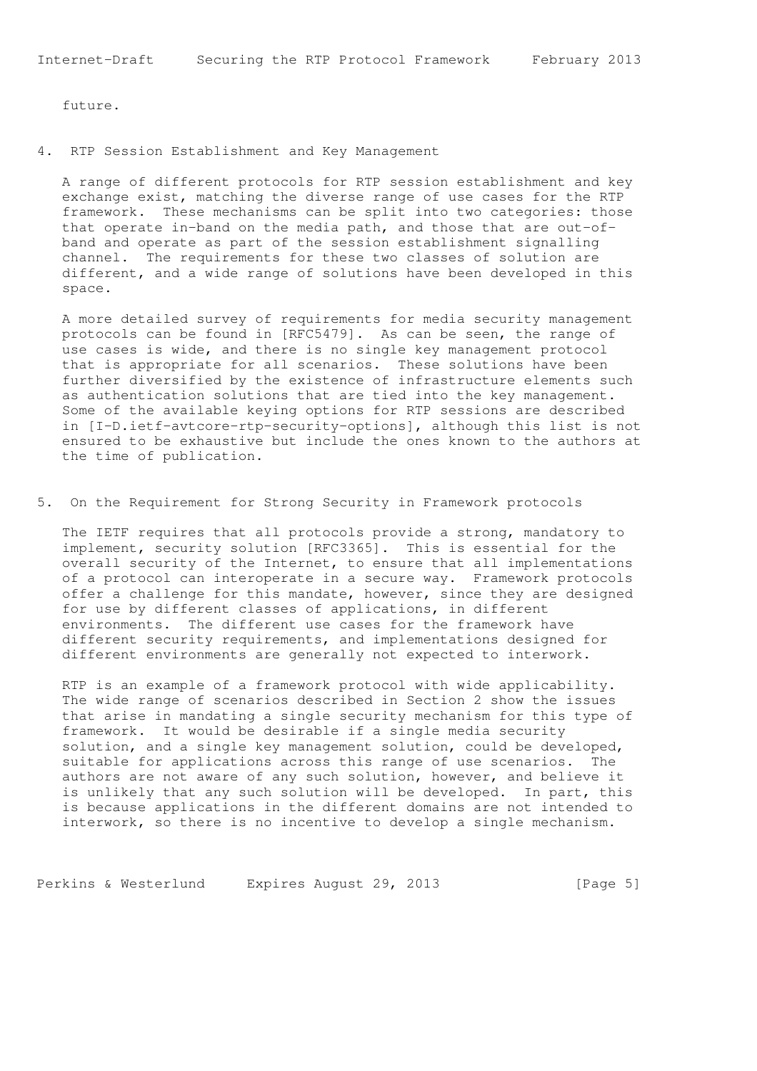future.

4. RTP Session Establishment and Key Management

 A range of different protocols for RTP session establishment and key exchange exist, matching the diverse range of use cases for the RTP framework. These mechanisms can be split into two categories: those that operate in-band on the media path, and those that are out-of band and operate as part of the session establishment signalling channel. The requirements for these two classes of solution are different, and a wide range of solutions have been developed in this space.

 A more detailed survey of requirements for media security management protocols can be found in [RFC5479]. As can be seen, the range of use cases is wide, and there is no single key management protocol that is appropriate for all scenarios. These solutions have been further diversified by the existence of infrastructure elements such as authentication solutions that are tied into the key management. Some of the available keying options for RTP sessions are described in [I-D.ietf-avtcore-rtp-security-options], although this list is not ensured to be exhaustive but include the ones known to the authors at the time of publication.

5. On the Requirement for Strong Security in Framework protocols

 The IETF requires that all protocols provide a strong, mandatory to implement, security solution [RFC3365]. This is essential for the overall security of the Internet, to ensure that all implementations of a protocol can interoperate in a secure way. Framework protocols offer a challenge for this mandate, however, since they are designed for use by different classes of applications, in different environments. The different use cases for the framework have different security requirements, and implementations designed for different environments are generally not expected to interwork.

 RTP is an example of a framework protocol with wide applicability. The wide range of scenarios described in Section 2 show the issues that arise in mandating a single security mechanism for this type of framework. It would be desirable if a single media security solution, and a single key management solution, could be developed, suitable for applications across this range of use scenarios. The authors are not aware of any such solution, however, and believe it is unlikely that any such solution will be developed. In part, this is because applications in the different domains are not intended to interwork, so there is no incentive to develop a single mechanism.

Perkins & Westerlund Expires August 29, 2013 [Page 5]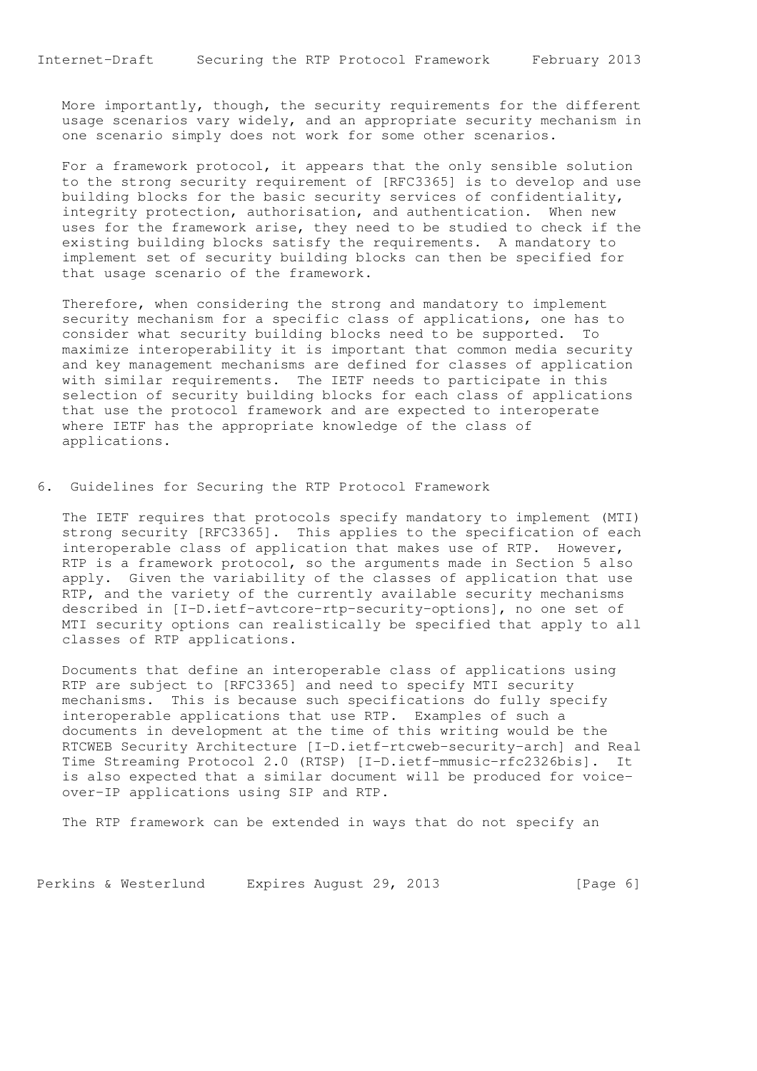More importantly, though, the security requirements for the different usage scenarios vary widely, and an appropriate security mechanism in one scenario simply does not work for some other scenarios.

 For a framework protocol, it appears that the only sensible solution to the strong security requirement of [RFC3365] is to develop and use building blocks for the basic security services of confidentiality, integrity protection, authorisation, and authentication. When new uses for the framework arise, they need to be studied to check if the existing building blocks satisfy the requirements. A mandatory to implement set of security building blocks can then be specified for that usage scenario of the framework.

 Therefore, when considering the strong and mandatory to implement security mechanism for a specific class of applications, one has to consider what security building blocks need to be supported. To maximize interoperability it is important that common media security and key management mechanisms are defined for classes of application with similar requirements. The IETF needs to participate in this selection of security building blocks for each class of applications that use the protocol framework and are expected to interoperate where IETF has the appropriate knowledge of the class of applications.

6. Guidelines for Securing the RTP Protocol Framework

 The IETF requires that protocols specify mandatory to implement (MTI) strong security [RFC3365]. This applies to the specification of each interoperable class of application that makes use of RTP. However, RTP is a framework protocol, so the arguments made in Section 5 also apply. Given the variability of the classes of application that use RTP, and the variety of the currently available security mechanisms described in [I-D.ietf-avtcore-rtp-security-options], no one set of MTI security options can realistically be specified that apply to all classes of RTP applications.

 Documents that define an interoperable class of applications using RTP are subject to [RFC3365] and need to specify MTI security mechanisms. This is because such specifications do fully specify interoperable applications that use RTP. Examples of such a documents in development at the time of this writing would be the RTCWEB Security Architecture [I-D.ietf-rtcweb-security-arch] and Real Time Streaming Protocol 2.0 (RTSP) [I-D.ietf-mmusic-rfc2326bis]. It is also expected that a similar document will be produced for voice over-IP applications using SIP and RTP.

The RTP framework can be extended in ways that do not specify an

Perkins & Westerlund Expires August 29, 2013 [Page 6]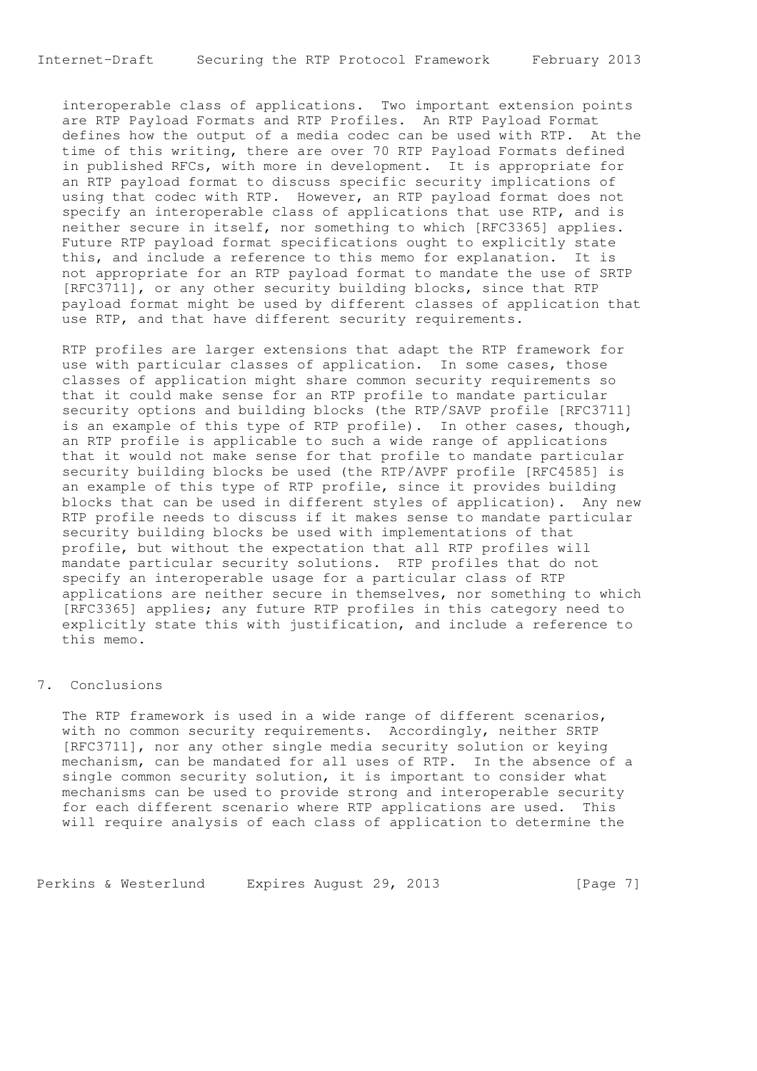Internet-Draft Securing the RTP Protocol Framework February 2013

 interoperable class of applications. Two important extension points are RTP Payload Formats and RTP Profiles. An RTP Payload Format defines how the output of a media codec can be used with RTP. At the time of this writing, there are over 70 RTP Payload Formats defined in published RFCs, with more in development. It is appropriate for an RTP payload format to discuss specific security implications of using that codec with RTP. However, an RTP payload format does not specify an interoperable class of applications that use RTP, and is neither secure in itself, nor something to which [RFC3365] applies. Future RTP payload format specifications ought to explicitly state this, and include a reference to this memo for explanation. It is not appropriate for an RTP payload format to mandate the use of SRTP [RFC3711], or any other security building blocks, since that RTP payload format might be used by different classes of application that use RTP, and that have different security requirements.

 RTP profiles are larger extensions that adapt the RTP framework for use with particular classes of application. In some cases, those classes of application might share common security requirements so that it could make sense for an RTP profile to mandate particular security options and building blocks (the RTP/SAVP profile [RFC3711] is an example of this type of RTP profile). In other cases, though, an RTP profile is applicable to such a wide range of applications that it would not make sense for that profile to mandate particular security building blocks be used (the RTP/AVPF profile [RFC4585] is an example of this type of RTP profile, since it provides building blocks that can be used in different styles of application). Any new RTP profile needs to discuss if it makes sense to mandate particular security building blocks be used with implementations of that profile, but without the expectation that all RTP profiles will mandate particular security solutions. RTP profiles that do not specify an interoperable usage for a particular class of RTP applications are neither secure in themselves, nor something to which [RFC3365] applies; any future RTP profiles in this category need to explicitly state this with justification, and include a reference to this memo.

## 7. Conclusions

 The RTP framework is used in a wide range of different scenarios, with no common security requirements. Accordingly, neither SRTP [RFC3711], nor any other single media security solution or keying mechanism, can be mandated for all uses of RTP. In the absence of a single common security solution, it is important to consider what mechanisms can be used to provide strong and interoperable security for each different scenario where RTP applications are used. This will require analysis of each class of application to determine the

Perkins & Westerlund Expires August 29, 2013 [Page 7]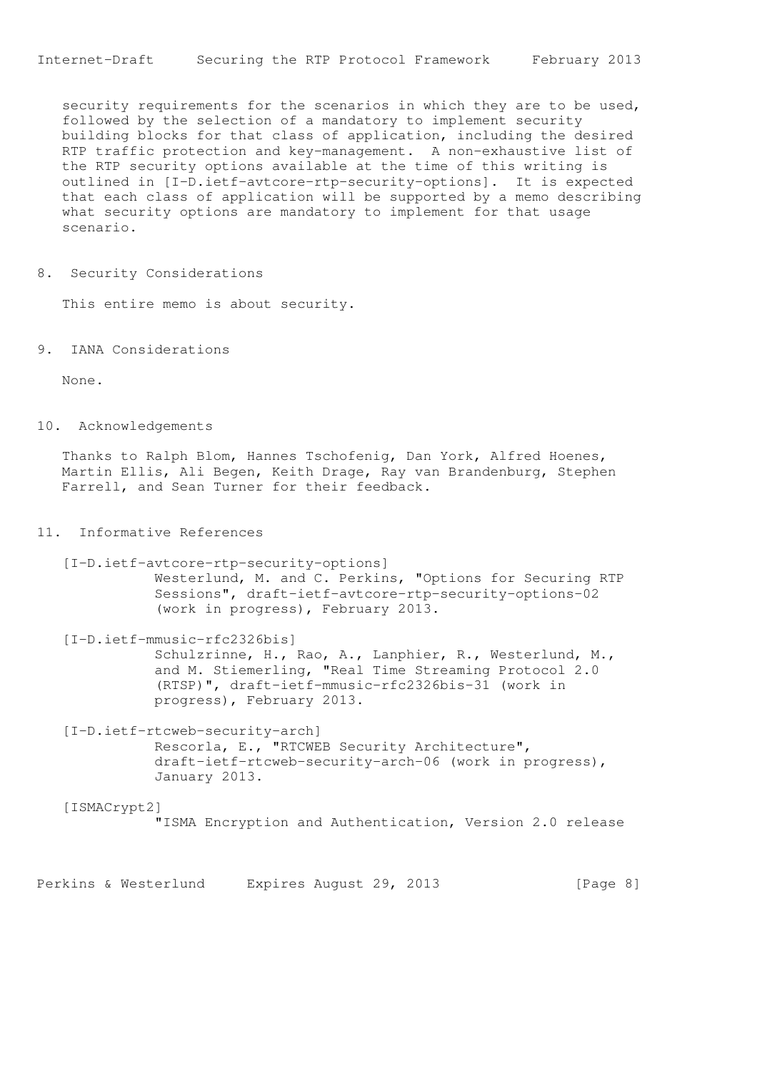security requirements for the scenarios in which they are to be used, followed by the selection of a mandatory to implement security building blocks for that class of application, including the desired RTP traffic protection and key-management. A non-exhaustive list of the RTP security options available at the time of this writing is outlined in [I-D.ietf-avtcore-rtp-security-options]. It is expected that each class of application will be supported by a memo describing what security options are mandatory to implement for that usage scenario.

8. Security Considerations

This entire memo is about security.

9. IANA Considerations

None.

10. Acknowledgements

 Thanks to Ralph Blom, Hannes Tschofenig, Dan York, Alfred Hoenes, Martin Ellis, Ali Begen, Keith Drage, Ray van Brandenburg, Stephen Farrell, and Sean Turner for their feedback.

## 11. Informative References

 [I-D.ietf-avtcore-rtp-security-options] Westerlund, M. and C. Perkins, "Options for Securing RTP Sessions", draft-ietf-avtcore-rtp-security-options-02 (work in progress), February 2013.

 [I-D.ietf-mmusic-rfc2326bis] Schulzrinne, H., Rao, A., Lanphier, R., Westerlund, M., and M. Stiemerling, "Real Time Streaming Protocol 2.0 (RTSP)", draft-ietf-mmusic-rfc2326bis-31 (work in progress), February 2013.

 [I-D.ietf-rtcweb-security-arch] Rescorla, E., "RTCWEB Security Architecture", draft-ietf-rtcweb-security-arch-06 (work in progress), January 2013.

 [ISMACrypt2] "ISMA Encryption and Authentication, Version 2.0 release

Perkins & Westerlund Expires August 29, 2013 [Page 8]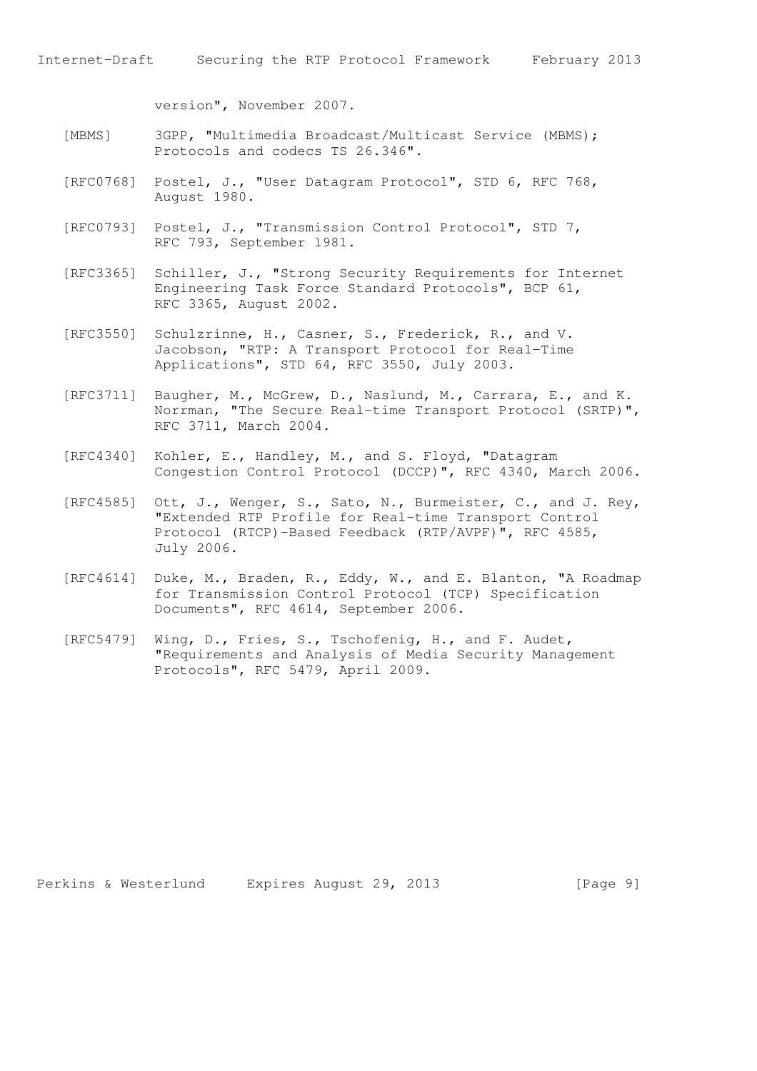version", November 2007.

- [MBMS] 3GPP, "Multimedia Broadcast/Multicast Service (MBMS); Protocols and codecs TS 26.346".
- [RFC0768] Postel, J., "User Datagram Protocol", STD 6, RFC 768, August 1980.
- [RFC0793] Postel, J., "Transmission Control Protocol", STD 7, RFC 793, September 1981.
- [RFC3365] Schiller, J., "Strong Security Requirements for Internet Engineering Task Force Standard Protocols", BCP 61, RFC 3365, August 2002.
- [RFC3550] Schulzrinne, H., Casner, S., Frederick, R., and V. Jacobson, "RTP: A Transport Protocol for Real-Time Applications", STD 64, RFC 3550, July 2003.
- [RFC3711] Baugher, M., McGrew, D., Naslund, M., Carrara, E., and K. Norrman, "The Secure Real-time Transport Protocol (SRTP)", RFC 3711, March 2004.
- [RFC4340] Kohler, E., Handley, M., and S. Floyd, "Datagram Congestion Control Protocol (DCCP)", RFC 4340, March 2006.
- [RFC4585] Ott, J., Wenger, S., Sato, N., Burmeister, C., and J. Rey, "Extended RTP Profile for Real-time Transport Control Protocol (RTCP)-Based Feedback (RTP/AVPF)", RFC 4585, July 2006.
- [RFC4614] Duke, M., Braden, R., Eddy, W., and E. Blanton, "A Roadmap for Transmission Control Protocol (TCP) Specification Documents", RFC 4614, September 2006.
- [RFC5479] Wing, D., Fries, S., Tschofenig, H., and F. Audet, "Requirements and Analysis of Media Security Management Protocols", RFC 5479, April 2009.

Perkins & Westerlund Expires August 29, 2013 [Page 9]